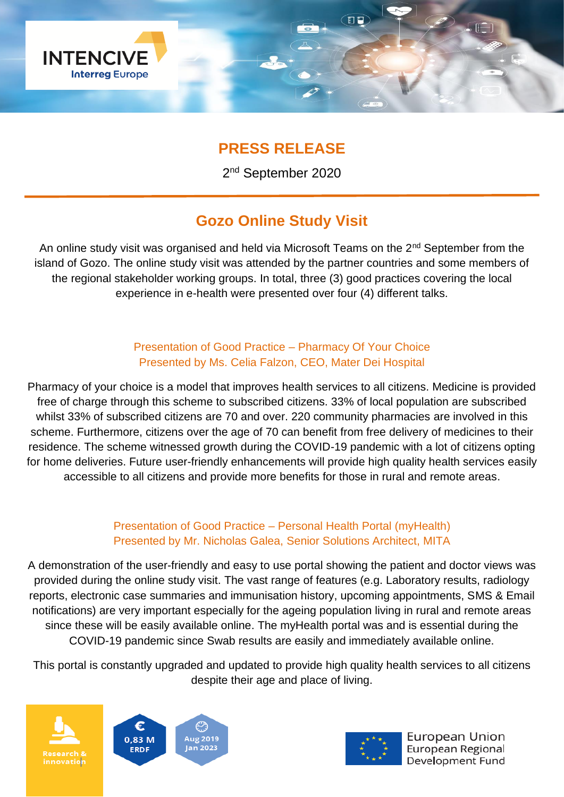

## **PRESS RELEASE**

2<sup>nd</sup> September 2020

# **Gozo Online Study Visit**

An online study visit was organised and held via Microsoft Teams on the  $2<sup>nd</sup>$  September from the island of Gozo. The online study visit was attended by the partner countries and some members of the regional stakeholder working groups. In total, three (3) good practices covering the local experience in e-health were presented over four (4) different talks.

#### Presentation of Good Practice – Pharmacy Of Your Choice Presented by Ms. Celia Falzon, CEO, Mater Dei Hospital

Pharmacy of your choice is a model that improves health services to all citizens. Medicine is provided free of charge through this scheme to subscribed citizens. 33% of local population are subscribed whilst 33% of subscribed citizens are 70 and over. 220 community pharmacies are involved in this scheme. Furthermore, citizens over the age of 70 can benefit from free delivery of medicines to their residence. The scheme witnessed growth during the COVID-19 pandemic with a lot of citizens opting for home deliveries. Future user-friendly enhancements will provide high quality health services easily accessible to all citizens and provide more benefits for those in rural and remote areas.

#### Presentation of Good Practice – Personal Health Portal (myHealth) Presented by Mr. Nicholas Galea, Senior Solutions Architect, MITA

A demonstration of the user-friendly and easy to use portal showing the patient and doctor views was provided during the online study visit. The vast range of features (e.g. Laboratory results, radiology reports, electronic case summaries and immunisation history, upcoming appointments, SMS & Email notifications) are very important especially for the ageing population living in rural and remote areas since these will be easily available online. The myHealth portal was and is essential during the COVID-19 pandemic since Swab results are easily and immediately available online.

This portal is constantly upgraded and updated to provide high quality health services to all citizens despite their age and place of living.







European Union European Regional Development Fund